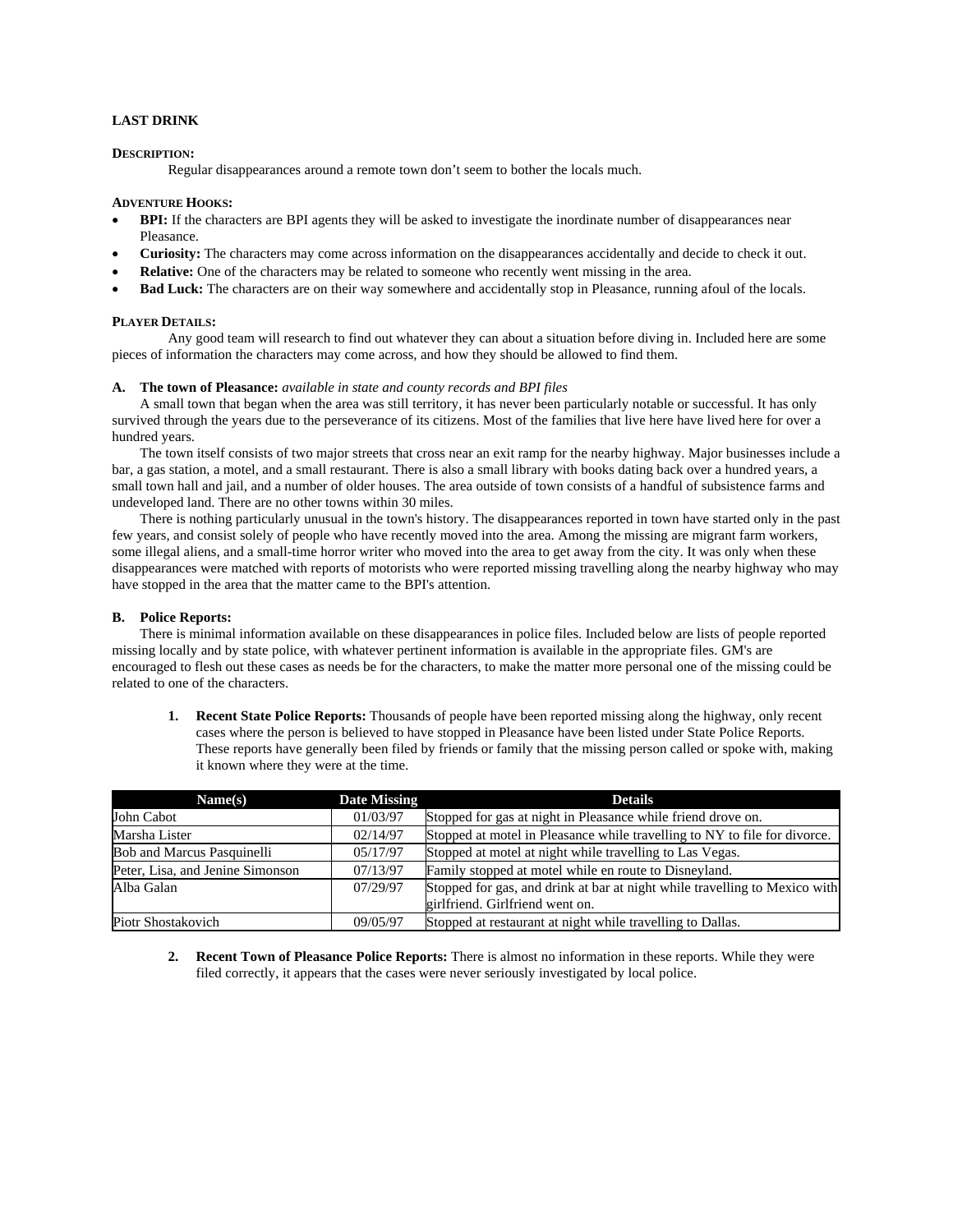# **LAST DRINK**

## **DESCRIPTION:**

Regular disappearances around a remote town don't seem to bother the locals much.

## **ADVENTURE HOOKS:**

- **BPI:** If the characters are BPI agents they will be asked to investigate the inordinate number of disappearances near Pleasance.
- **Curiosity:** The characters may come across information on the disappearances accidentally and decide to check it out.
- **Relative:** One of the characters may be related to someone who recently went missing in the area.
- **Bad Luck:** The characters are on their way somewhere and accidentally stop in Pleasance, running afoul of the locals.

### **PLAYER DETAILS:**

Any good team will research to find out whatever they can about a situation before diving in. Included here are some pieces of information the characters may come across, and how they should be allowed to find them.

### **A. The town of Pleasance:** *available in state and county records and BPI files*

A small town that began when the area was still territory, it has never been particularly notable or successful. It has only survived through the years due to the perseverance of its citizens. Most of the families that live here have lived here for over a hundred years.

The town itself consists of two major streets that cross near an exit ramp for the nearby highway. Major businesses include a bar, a gas station, a motel, and a small restaurant. There is also a small library with books dating back over a hundred years, a small town hall and jail, and a number of older houses. The area outside of town consists of a handful of subsistence farms and undeveloped land. There are no other towns within 30 miles.

There is nothing particularly unusual in the town's history. The disappearances reported in town have started only in the past few years, and consist solely of people who have recently moved into the area. Among the missing are migrant farm workers, some illegal aliens, and a small-time horror writer who moved into the area to get away from the city. It was only when these disappearances were matched with reports of motorists who were reported missing travelling along the nearby highway who may have stopped in the area that the matter came to the BPI's attention.

### **B. Police Reports:**

There is minimal information available on these disappearances in police files. Included below are lists of people reported missing locally and by state police, with whatever pertinent information is available in the appropriate files. GM's are encouraged to flesh out these cases as needs be for the characters, to make the matter more personal one of the missing could be related to one of the characters.

**1. Recent State Police Reports:** Thousands of people have been reported missing along the highway, only recent cases where the person is believed to have stopped in Pleasance have been listed under State Police Reports. These reports have generally been filed by friends or family that the missing person called or spoke with, making it known where they were at the time.

| Name(s)                           | <b>Date Missing</b> | <b>Details</b>                                                             |
|-----------------------------------|---------------------|----------------------------------------------------------------------------|
| John Cabot                        | 01/03/97            | Stopped for gas at night in Pleasance while friend drove on.               |
| Marsha Lister                     | 02/14/97            | Stopped at motel in Pleasance while travelling to NY to file for divorce.  |
| <b>Bob and Marcus Pasquinelli</b> | 05/17/97            | Stopped at motel at night while travelling to Las Vegas.                   |
| Peter, Lisa, and Jenine Simonson  | 07/13/97            | Family stopped at motel while en route to Disneyland.                      |
| Alba Galan                        | 07/29/97            | Stopped for gas, and drink at bar at night while travelling to Mexico with |
|                                   |                     | girlfriend. Girlfriend went on.                                            |
| Piotr Shostakovich                | 09/05/97            | Stopped at restaurant at night while travelling to Dallas.                 |

**2. Recent Town of Pleasance Police Reports:** There is almost no information in these reports. While they were filed correctly, it appears that the cases were never seriously investigated by local police.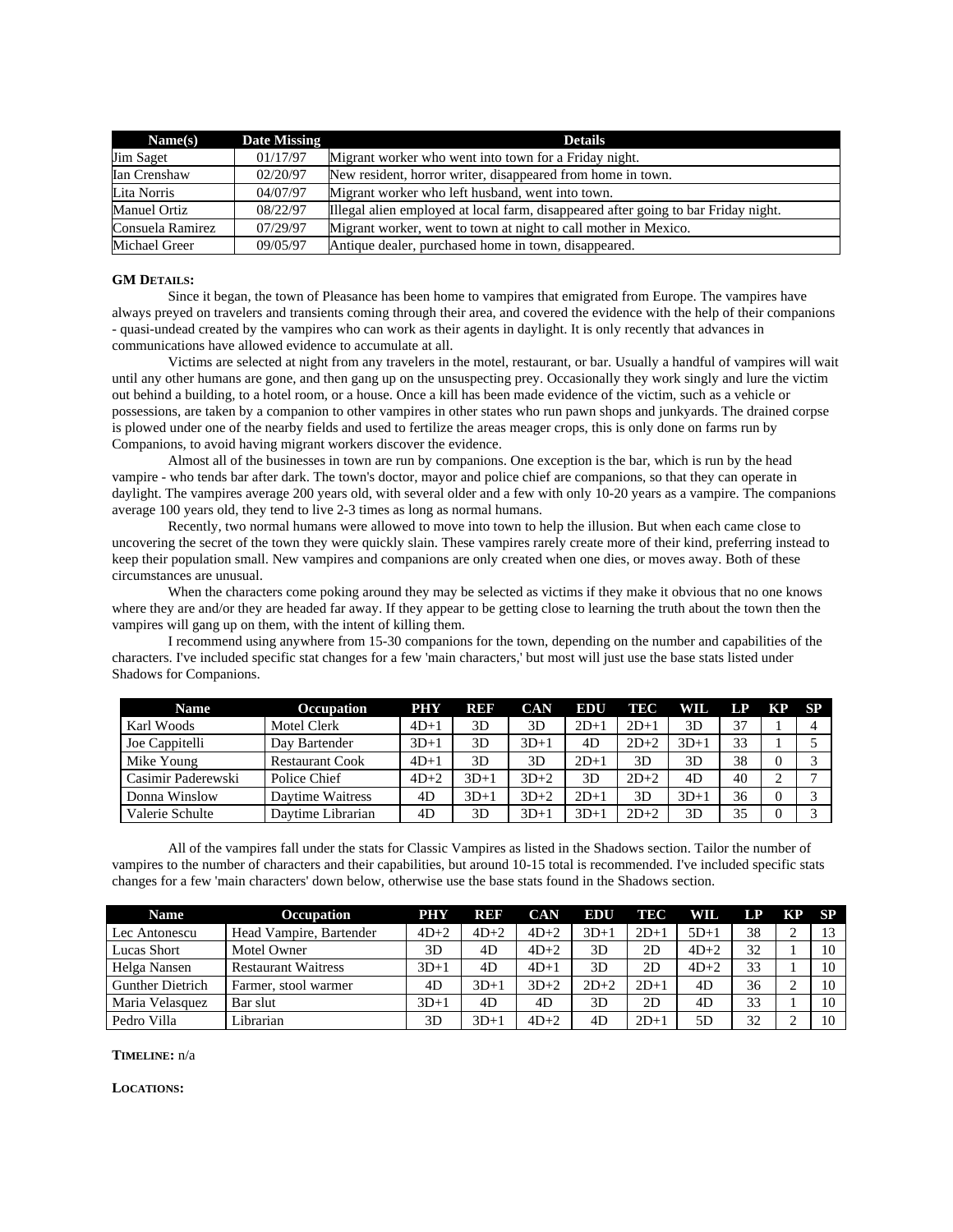| Name(s)             | Date Missing | <b>Details</b>                                                                     |  |  |
|---------------------|--------------|------------------------------------------------------------------------------------|--|--|
| Jim Saget           | 01/17/97     | Migrant worker who went into town for a Friday night.                              |  |  |
| Ian Crenshaw        | 02/20/97     | New resident, horror writer, disappeared from home in town.                        |  |  |
| Lita Norris         | 04/07/97     | Migrant worker who left husband, went into town.                                   |  |  |
| <b>Manuel Ortiz</b> | 08/22/97     | Illegal alien employed at local farm, disappeared after going to bar Friday night. |  |  |
| Consuela Ramirez    | 07/29/97     | Migrant worker, went to town at night to call mother in Mexico.                    |  |  |
| Michael Greer       | 09/05/97     | Antique dealer, purchased home in town, disappeared.                               |  |  |

### **GM DETAILS:**

 Since it began, the town of Pleasance has been home to vampires that emigrated from Europe. The vampires have always preyed on travelers and transients coming through their area, and covered the evidence with the help of their companions - quasi-undead created by the vampires who can work as their agents in daylight. It is only recently that advances in communications have allowed evidence to accumulate at all.

Victims are selected at night from any travelers in the motel, restaurant, or bar. Usually a handful of vampires will wait until any other humans are gone, and then gang up on the unsuspecting prey. Occasionally they work singly and lure the victim out behind a building, to a hotel room, or a house. Once a kill has been made evidence of the victim, such as a vehicle or possessions, are taken by a companion to other vampires in other states who run pawn shops and junkyards. The drained corpse is plowed under one of the nearby fields and used to fertilize the areas meager crops, this is only done on farms run by Companions, to avoid having migrant workers discover the evidence.

Almost all of the businesses in town are run by companions. One exception is the bar, which is run by the head vampire - who tends bar after dark. The town's doctor, mayor and police chief are companions, so that they can operate in daylight. The vampires average 200 years old, with several older and a few with only 10-20 years as a vampire. The companions average 100 years old, they tend to live 2-3 times as long as normal humans.

Recently, two normal humans were allowed to move into town to help the illusion. But when each came close to uncovering the secret of the town they were quickly slain. These vampires rarely create more of their kind, preferring instead to keep their population small. New vampires and companions are only created when one dies, or moves away. Both of these circumstances are unusual.

When the characters come poking around they may be selected as victims if they make it obvious that no one knows where they are and/or they are headed far away. If they appear to be getting close to learning the truth about the town then the vampires will gang up on them, with the intent of killing them.

I recommend using anywhere from 15-30 companions for the town, depending on the number and capabilities of the characters. I've included specific stat changes for a few 'main characters,' but most will just use the base stats listed under Shadows for Companions.

| <b>Name</b>        | <b>Occupation</b>      | PHY    | REF    | CAN    | <b>EDU</b> | TEC    | WIL.   | LP | КP       | <b>SP</b> |
|--------------------|------------------------|--------|--------|--------|------------|--------|--------|----|----------|-----------|
| Karl Woods         | Motel Clerk            | $4D+1$ | 3D     | 3D     | $2D+1$     | $2D+1$ | 3D     | 37 |          |           |
| Joe Cappitelli     | Day Bartender          | $3D+1$ | 3D     | $3D+1$ | 4D         | $2D+2$ | $3D+1$ | 33 |          |           |
| Mike Young         | <b>Restaurant Cook</b> | $4D+1$ | 3D     | 3D     | $2D+1$     | 3D     | 3D     | 38 | $\Omega$ |           |
| Casimir Paderewski | Police Chief           | $4D+2$ | $3D+1$ | $3D+2$ | 3D         | $2D+2$ | 4D     | 40 |          |           |
| Donna Winslow      | Daytime Waitress       | 4D     | $3D+1$ | $3D+2$ | $2D+1$     | 3D     | $3D+1$ | 36 | $\Omega$ |           |
| Valerie Schulte    | Daytime Librarian      | 4D     | 3D     | $3D+1$ | $3D+1$     | $2D+2$ | 3D     | 35 |          |           |

All of the vampires fall under the stats for Classic Vampires as listed in the Shadows section. Tailor the number of vampires to the number of characters and their capabilities, but around 10-15 total is recommended. I've included specific stats changes for a few 'main characters' down below, otherwise use the base stats found in the Shadows section.

| <b>Name</b>             | <b>Occupation</b>          | <b>PHY</b> | REF    | <b>CAN</b> | EDU    | TEC    | WIL.   | LP | KP SP |    |
|-------------------------|----------------------------|------------|--------|------------|--------|--------|--------|----|-------|----|
| Lec Antonescu           | Head Vampire, Bartender    | $4D+2$     | $4D+2$ | $4D+2$     | $3D+1$ | $2D+1$ | $5D+1$ | 38 |       | 13 |
| Lucas Short             | Motel Owner                | 3D         | 4D     | $4D+2$     | 3D     | 2D     | $4D+2$ | 32 |       | 10 |
| Helga Nansen            | <b>Restaurant Waitress</b> | $3D+1$     | 4D     | $4D+1$     | 3D     | 2D     | $4D+2$ | 33 |       | 10 |
| <b>Gunther Dietrich</b> | Farmer, stool warmer       | 4D         | $3D+1$ | $3D+2$     | $2D+2$ | $2D+1$ | 4D     | 36 |       | 10 |
| Maria Velasquez         | Bar slut                   | $3D+1$     | 4D     | 4D         | 3D     | 2D     | 4D     | 33 |       | 10 |
| Pedro Villa             | Librarian                  | 3D         | $3D+1$ | $4D+2$     | 4D     | $2D+1$ | 5D     | 32 | ∸     | 10 |

# **TIMELINE:** n/a

### **LOCATIONS:**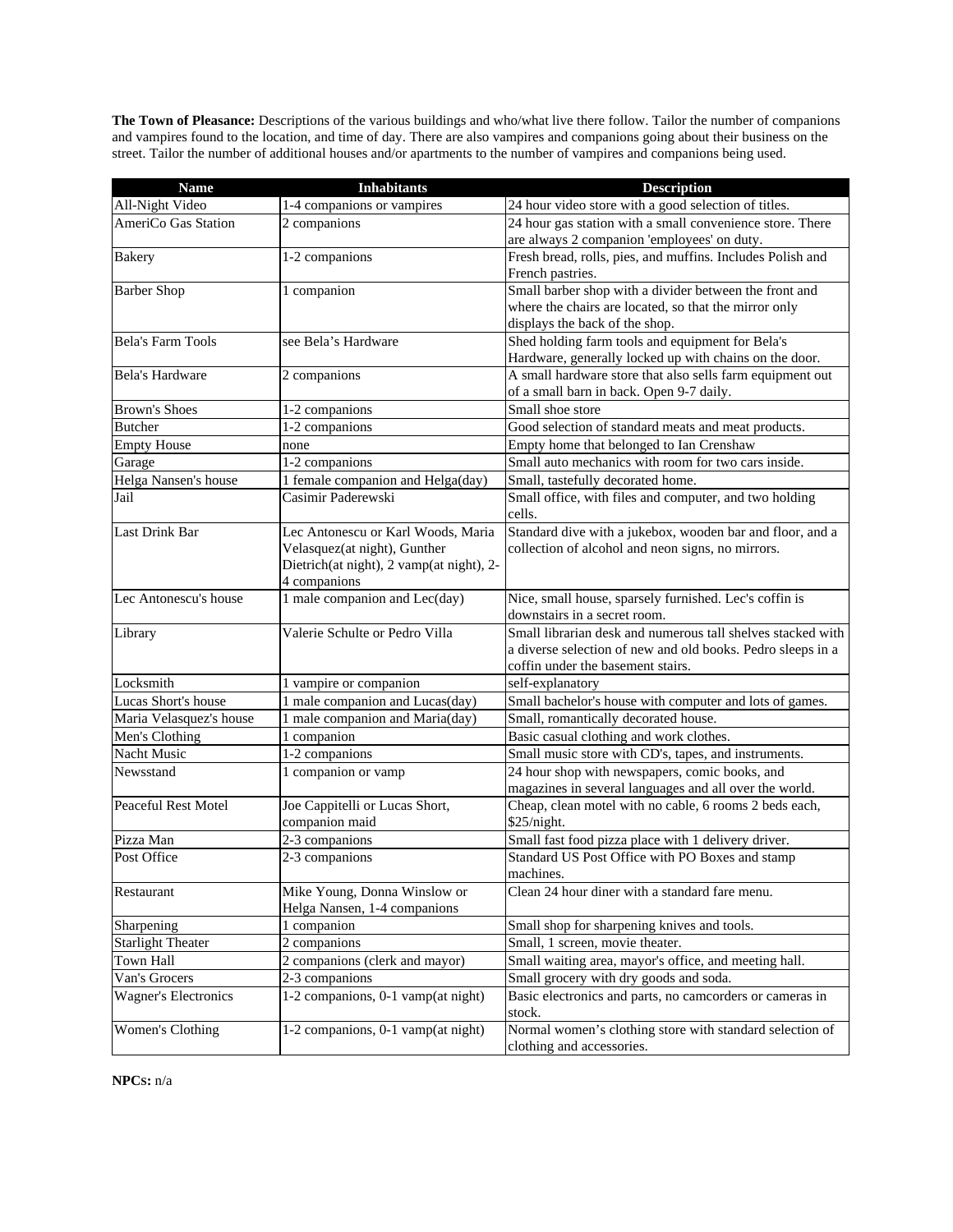**The Town of Pleasance:** Descriptions of the various buildings and who/what live there follow. Tailor the number of companions and vampires found to the location, and time of day. There are also vampires and companions going about their business on the street. Tailor the number of additional houses and/or apartments to the number of vampires and companions being used.

| <b>Name</b>                               | <b>Inhabitants</b>                             | <b>Description</b>                                                              |
|-------------------------------------------|------------------------------------------------|---------------------------------------------------------------------------------|
| All-Night Video                           | 1-4 companions or vampires                     | 24 hour video store with a good selection of titles.                            |
| AmeriCo Gas Station                       | 2 companions                                   | 24 hour gas station with a small convenience store. There                       |
|                                           |                                                | are always 2 companion 'employees' on duty.                                     |
| <b>Bakery</b>                             | 1-2 companions                                 | Fresh bread, rolls, pies, and muffins. Includes Polish and<br>French pastries.  |
| <b>Barber Shop</b>                        | 1 companion                                    | Small barber shop with a divider between the front and                          |
|                                           |                                                | where the chairs are located, so that the mirror only                           |
|                                           |                                                | displays the back of the shop.                                                  |
| <b>Bela's Farm Tools</b>                  | see Bela's Hardware                            | Shed holding farm tools and equipment for Bela's                                |
|                                           |                                                | Hardware, generally locked up with chains on the door.                          |
| Bela's Hardware                           | 2 companions                                   | A small hardware store that also sells farm equipment out                       |
|                                           |                                                | of a small barn in back. Open 9-7 daily.                                        |
| <b>Brown's Shoes</b>                      | 1-2 companions                                 | Small shoe store                                                                |
| <b>Butcher</b>                            | 1-2 companions                                 | Good selection of standard meats and meat products.                             |
| <b>Empty House</b>                        | none                                           | Empty home that belonged to Ian Crenshaw                                        |
| Garage                                    | 1-2 companions                                 | Small auto mechanics with room for two cars inside.                             |
| Helga Nansen's house                      | 1 female companion and Helga(day)              | Small, tastefully decorated home.                                               |
| Jail                                      | Casimir Paderewski                             | Small office, with files and computer, and two holding<br>cells.                |
| Last Drink Bar                            | Lec Antonescu or Karl Woods, Maria             | Standard dive with a jukebox, wooden bar and floor, and a                       |
|                                           | Velasquez(at night), Gunther                   | collection of alcohol and neon signs, no mirrors.                               |
|                                           | Dietrich(at night), 2 vamp(at night), 2-       |                                                                                 |
|                                           | 4 companions                                   |                                                                                 |
| Lec Antonescu's house                     | 1 male companion and Lec(day)                  | Nice, small house, sparsely furnished. Lec's coffin is                          |
|                                           |                                                | downstairs in a secret room.                                                    |
| Library                                   | Valerie Schulte or Pedro Villa                 | Small librarian desk and numerous tall shelves stacked with                     |
|                                           |                                                | a diverse selection of new and old books. Pedro sleeps in a                     |
|                                           |                                                | coffin under the basement stairs.                                               |
| Locksmith<br>Lucas Short's house          | 1 vampire or companion                         | self-explanatory                                                                |
|                                           | 1 male companion and Lucas(day)                | Small bachelor's house with computer and lots of games.                         |
| Maria Velasquez's house<br>Men's Clothing | 1 male companion and Maria(day)<br>1 companion | Small, romantically decorated house.<br>Basic casual clothing and work clothes. |
| Nacht Music                               | 1-2 companions                                 | Small music store with CD's, tapes, and instruments.                            |
| Newsstand                                 | 1 companion or vamp                            | 24 hour shop with newspapers, comic books, and                                  |
|                                           |                                                | magazines in several languages and all over the world.                          |
| Peaceful Rest Motel                       | Joe Cappitelli or Lucas Short,                 | Cheap, clean motel with no cable, 6 rooms 2 beds each,                          |
|                                           | companion maid                                 | \$25/night.                                                                     |
| Pizza Man                                 | 2-3 companions                                 | Small fast food pizza place with 1 delivery driver.                             |
| Post Office                               | 2-3 companions                                 | Standard US Post Office with PO Boxes and stamp                                 |
|                                           |                                                | machines.                                                                       |
| Restaurant                                | Mike Young, Donna Winslow or                   | Clean 24 hour diner with a standard fare menu.                                  |
|                                           | Helga Nansen, 1-4 companions                   |                                                                                 |
| Sharpening                                | 1 companion                                    | Small shop for sharpening knives and tools.                                     |
| <b>Starlight Theater</b>                  | 2 companions                                   | Small, 1 screen, movie theater.                                                 |
| Town Hall                                 | 2 companions (clerk and mayor)                 | Small waiting area, mayor's office, and meeting hall.                           |
| Van's Grocers                             | 2-3 companions                                 | Small grocery with dry goods and soda.                                          |
| <b>Wagner's Electronics</b>               | 1-2 companions, 0-1 vamp(at night)             | Basic electronics and parts, no camcorders or cameras in                        |
|                                           |                                                | stock.                                                                          |
| Women's Clothing                          | 1-2 companions, 0-1 vamp(at night)             | Normal women's clothing store with standard selection of                        |
|                                           |                                                | clothing and accessories.                                                       |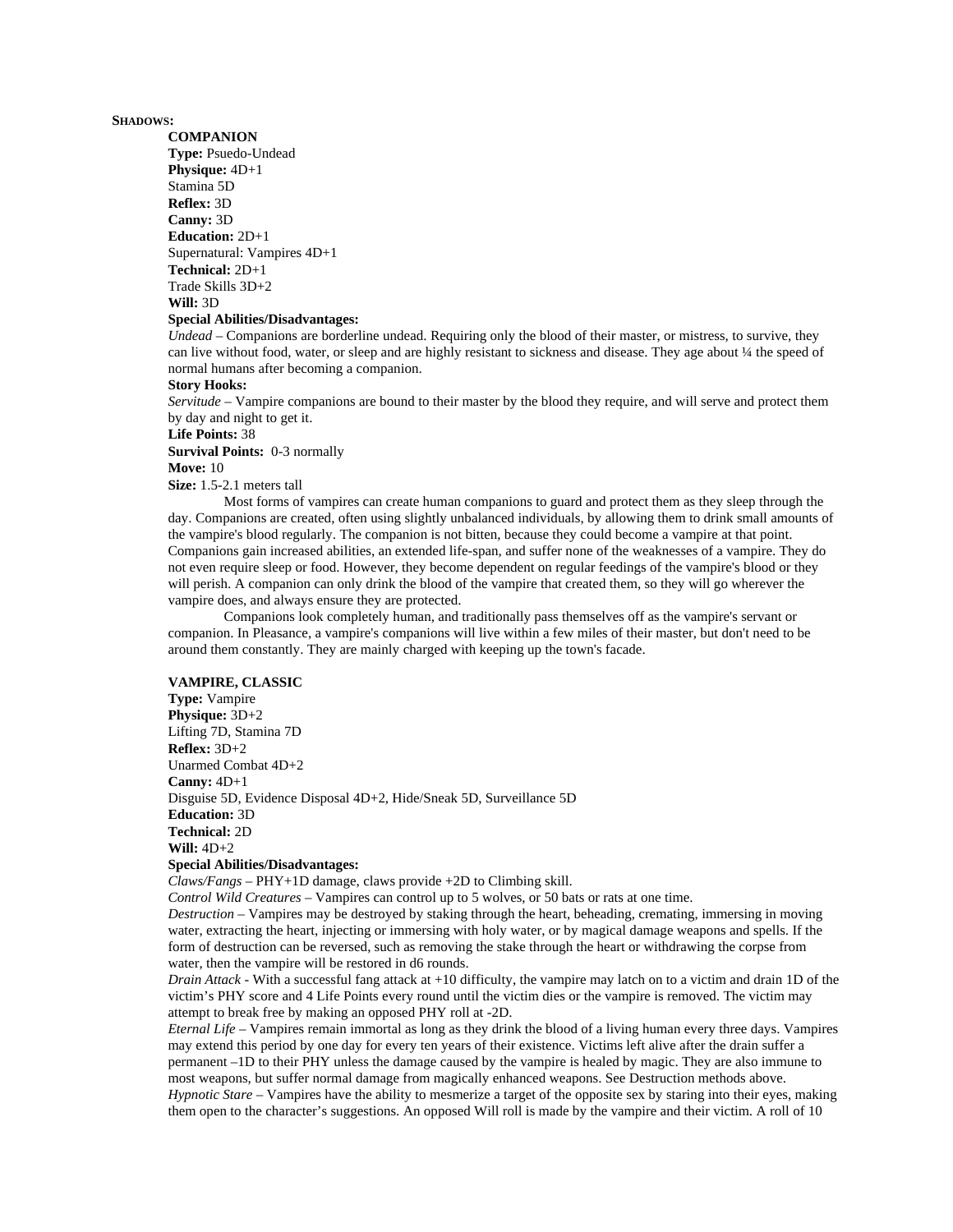#### **SHADOWS:**

#### **COMPANION**

**Type:** Psuedo-Undead **Physique:** 4D+1 Stamina 5D **Reflex:** 3D **Canny:** 3D **Education:** 2D+1 Supernatural: Vampires 4D+1 **Technical:** 2D+1 Trade Skills 3D+2 **Will:** 3D

## **Special Abilities/Disadvantages:**

*Undead* – Companions are borderline undead. Requiring only the blood of their master, or mistress, to survive, they can live without food, water, or sleep and are highly resistant to sickness and disease. They age about 1/4 the speed of normal humans after becoming a companion.

### **Story Hooks:**

*Servitude* – Vampire companions are bound to their master by the blood they require, and will serve and protect them by day and night to get it.

#### **Life Points:** 38

**Survival Points:** 0-3 normally

#### **Move:** 10

**Size:** 1.5-2.1 meters tall

Most forms of vampires can create human companions to guard and protect them as they sleep through the day. Companions are created, often using slightly unbalanced individuals, by allowing them to drink small amounts of the vampire's blood regularly. The companion is not bitten, because they could become a vampire at that point. Companions gain increased abilities, an extended life-span, and suffer none of the weaknesses of a vampire. They do not even require sleep or food. However, they become dependent on regular feedings of the vampire's blood or they will perish. A companion can only drink the blood of the vampire that created them, so they will go wherever the vampire does, and always ensure they are protected.

Companions look completely human, and traditionally pass themselves off as the vampire's servant or companion. In Pleasance, a vampire's companions will live within a few miles of their master, but don't need to be around them constantly. They are mainly charged with keeping up the town's facade.

### **VAMPIRE, CLASSIC**

**Type:** Vampire **Physique:** 3D+2 Lifting 7D, Stamina 7D **Reflex:** 3D+2 Unarmed Combat 4D+2 **Canny:** 4D+1 Disguise 5D, Evidence Disposal 4D+2, Hide/Sneak 5D, Surveillance 5D **Education:** 3D **Technical:** 2D **Will:** 4D+2 **Special Abilities/Disadvantages:**

*Claws/Fangs* – PHY+1D damage, claws provide +2D to Climbing skill.

*Control Wild Creatures* – Vampires can control up to 5 wolves, or 50 bats or rats at one time.

*Destruction* – Vampires may be destroyed by staking through the heart, beheading, cremating, immersing in moving water, extracting the heart, injecting or immersing with holy water, or by magical damage weapons and spells. If the form of destruction can be reversed, such as removing the stake through the heart or withdrawing the corpse from water, then the vampire will be restored in d6 rounds.

*Drain Attack* - With a successful fang attack at +10 difficulty, the vampire may latch on to a victim and drain 1D of the victim's PHY score and 4 Life Points every round until the victim dies or the vampire is removed. The victim may attempt to break free by making an opposed PHY roll at -2D.

*Eternal Life* – Vampires remain immortal as long as they drink the blood of a living human every three days. Vampires may extend this period by one day for every ten years of their existence. Victims left alive after the drain suffer a permanent –1D to their PHY unless the damage caused by the vampire is healed by magic. They are also immune to most weapons, but suffer normal damage from magically enhanced weapons. See Destruction methods above. *Hypnotic Stare* – Vampires have the ability to mesmerize a target of the opposite sex by staring into their eyes, making them open to the character's suggestions. An opposed Will roll is made by the vampire and their victim. A roll of 10